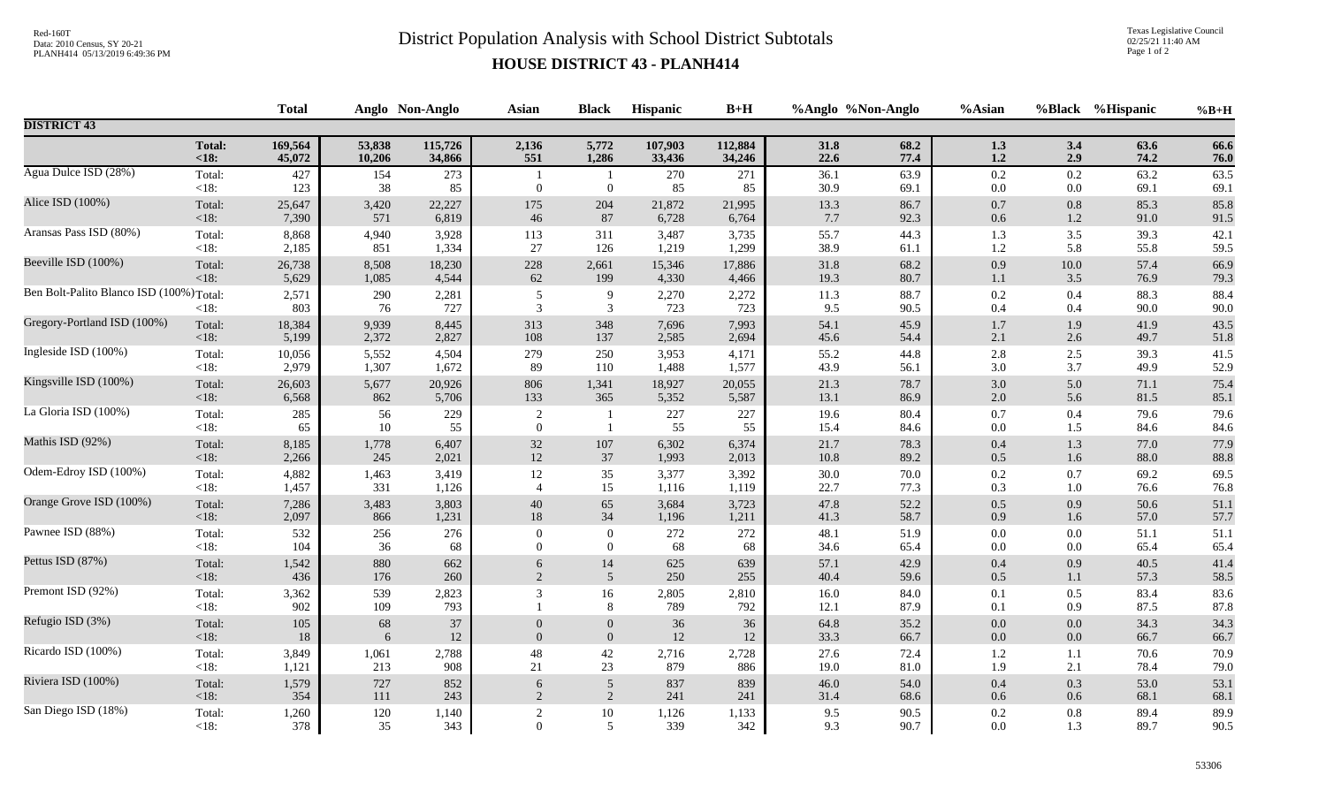## Red-160T<br>District Population Analysis with School District Subtotals

Texas Legislative Council 02/25/21 11:40 AM Page 1 of 2

## **HOUSE DISTRICT 43 - PLANH414**

|                                          |                   | <b>Total</b> |            | Anglo Non-Anglo | <b>Asian</b>                       | <b>Black</b>     | Hispanic      | $B+H$        |              | %Anglo %Non-Anglo | %Asian         |            | %Black %Hispanic | $%B+H$       |
|------------------------------------------|-------------------|--------------|------------|-----------------|------------------------------------|------------------|---------------|--------------|--------------|-------------------|----------------|------------|------------------|--------------|
| <b>DISTRICT 43</b>                       |                   |              |            |                 |                                    |                  |               |              |              |                   |                |            |                  |              |
|                                          | <b>Total:</b>     | 169,564      | 53,838     | 115,726         | 2,136                              | 5,772            | 107,903       | 112,884      | 31.8         | 68.2              | 1.3            | 3.4        | 63.6             | 66.6         |
|                                          | $18$              | 45,072       | 10,206     | 34,866          | 551                                | 1,286            | 33,436        | 34,246       | 22.6         | 77.4              | $1.2\,$        | 2.9        | 74.2             | 76.0         |
| Agua Dulce ISD (28%)                     | Total:<br>$<18$ : | 427<br>123   | 154<br>38  | 273<br>85       | $\overline{0}$                     | $\overline{0}$   | 270<br>85     | 271<br>85    | 36.1<br>30.9 | 63.9<br>69.1      | 0.2<br>0.0     | 0.2<br>0.0 | 63.2<br>69.1     | 63.5<br>69.1 |
| Alice ISD (100%)                         | Total:            | 25,647       | 3,420      | 22,227          | 175                                | 204              | 21,872        | 21,995       | 13.3         | 86.7              | $0.7\,$        | $0.8\,$    | 85.3             | 85.8         |
|                                          | <18:              | 7,390        | 571        | 6,819           | 46                                 | 87               | 6,728         | 6,764        | 7.7          | 92.3              | 0.6            | 1.2        | 91.0             | 91.5         |
| Aransas Pass ISD (80%)                   | Total:            | 8,868        | 4,940      | 3,928           | 113                                | 311              | 3,487         | 3,735        | 55.7         | 44.3              | 1.3            | 3.5        | 39.3             | 42.1         |
|                                          | $<18$ :           | 2,185        | 851        | 1,334           | 27                                 | 126              | 1,219         | 1,299        | 38.9         | 61.1              | 1.2            | 5.8        | 55.8             | 59.5         |
| Beeville ISD (100%)                      | Total:            | 26,738       | 8,508      | 18,230          | 228                                | 2,661            | 15,346        | 17,886       | 31.8         | 68.2              | $0.9\,$        | 10.0       | 57.4             | 66.9         |
|                                          | $<18$ :           | 5,629        | 1,085      | 4,544           | 62                                 | 199              | 4,330         | 4,466        | 19.3         | 80.7              | 1.1            | 3.5        | 76.9             | 79.3         |
| Ben Bolt-Palito Blanco ISD (100%) Total: | <18:              | 2,571<br>803 | 290<br>76  | 2,281<br>727    | $\sqrt{5}$<br>3                    | 9<br>3           | 2,270<br>723  | 2,272<br>723 | 11.3<br>9.5  | 88.7<br>90.5      | 0.2<br>0.4     | 0.4<br>0.4 | 88.3<br>90.0     | 88.4<br>90.0 |
| Gregory-Portland ISD (100%)              | Total:            | 18,384       | 9,939      | 8,445           | 313                                | 348              | 7,696         | 7,993        | 54.1         | 45.9              | $1.7\,$        | 1.9        | 41.9             | 43.5         |
|                                          | <18:              | 5,199        | 2,372      | 2,827           | 108                                | 137              | 2,585         | 2,694        | 45.6         | 54.4              | 2.1            | 2.6        | 49.7             | 51.8         |
| Ingleside ISD (100%)                     | Total:            | 10,056       | 5,552      | 4,504           | 279                                | 250              | 3,953         | 4,171        | 55.2         | 44.8              | $2.8\,$        | 2.5        | 39.3             | 41.5         |
|                                          | $<18$ :           | 2,979        | 1,307      | 1,672           | 89                                 | 110              | 1,488         | 1,577        | 43.9         | 56.1              | $3.0\,$        | 3.7        | 49.9             | 52.9         |
| Kingsville ISD (100%)                    | Total:            | 26,603       | 5,677      | 20,926          | 806                                | 1,341            | 18,927        | 20,055       | 21.3         | 78.7              | $3.0\,$        | 5.0        | 71.1             | 75.4         |
|                                          | <18:              | 6,568        | 862        | 5,706           | 133                                | 365              | 5,352         | 5,587        | 13.1         | 86.9              | $2.0\,$        | 5.6        | 81.5             | 85.1         |
| La Gloria ISD (100%)                     | Total:<br>$<18$ : | 285<br>65    | 56<br>10   | 229<br>55       | $\overline{2}$<br>$\boldsymbol{0}$ | $\overline{1}$   | $227\,$<br>55 | 227<br>55    | 19.6<br>15.4 | 80.4<br>84.6      | $0.7\,$<br>0.0 | 0.4<br>1.5 | 79.6<br>84.6     | 79.6<br>84.6 |
| Mathis ISD (92%)                         | Total:            | 8,185        | 1,778      | 6,407           | $32\,$                             | 107              | 6,302         | 6,374        | 21.7         | 78.3              | $0.4\,$        | 1.3        | 77.0             | 77.9         |
|                                          | <18:              | 2,266        | 245        | 2,021           | $12\,$                             | 37               | 1,993         | 2,013        | 10.8         | 89.2              | $0.5\,$        | 1.6        | 88.0             | 88.8         |
| Odem-Edroy ISD (100%)                    | Total:            | 4,882        | 1,463      | 3,419           | 12                                 | 35               | 3,377         | 3,392        | 30.0         | 70.0              | 0.2            | 0.7        | 69.2             | 69.5         |
|                                          | <18:              | 1,457        | 331        | 1,126           | $\overline{4}$                     | 15               | 1,116         | 1,119        | 22.7         | 77.3              | 0.3            | 1.0        | 76.6             | 76.8         |
| Orange Grove ISD (100%)                  | Total:            | 7,286        | 3,483      | 3,803           | $40\,$                             | 65               | 3,684         | 3,723        | 47.8         | 52.2              | $0.5\,$        | 0.9        | 50.6             | 51.1         |
|                                          | <18:              | 2,097        | 866        | 1,231           | $18\,$                             | 34               | 1,196         | 1,211        | 41.3         | 58.7              | 0.9            | 1.6        | 57.0             | 57.7         |
| Pawnee ISD (88%)                         | Total:            | 532          | 256        | 276             | $\theta$                           | $\overline{0}$   | 272           | 272          | 48.1         | 51.9              | 0.0            | 0.0        | 51.1             | 51.1         |
|                                          | <18:              | 104          | 36         | 68              | $\theta$                           | $\overline{0}$   | 68            | 68           | 34.6         | 65.4              | 0.0            | 0.0        | 65.4             | 65.4         |
| Pettus ISD (87%)                         | Total:            | 1,542        | 880        | 662             | 6                                  | 14               | 625           | 639          | 57.1         | 42.9              | $0.4\,$        | 0.9        | 40.5             | 41.4         |
|                                          | <18:              | 436          | 176        | 260             | 2                                  | $\overline{5}$   | 250           | 255          | 40.4         | 59.6              | $0.5\,$        | 1.1        | 57.3             | 58.5         |
| Premont ISD (92%)                        | Total:<br>$<18$ : | 3,362<br>902 | 539<br>109 | 2,823<br>793    | 3                                  | 16<br>$8\,$      | 2,805<br>789  | 2,810<br>792 | 16.0<br>12.1 | 84.0<br>87.9      | 0.1<br>0.1     | 0.5<br>0.9 | 83.4<br>87.5     | 83.6<br>87.8 |
| Refugio ISD (3%)                         | Total:            | 105          | 68         | $37\,$          | $\theta$                           | $\boldsymbol{0}$ | 36            | 36           | 64.8         | 35.2              | $0.0\,$        | 0.0        | 34.3             | 34.3         |
|                                          | $<18$ :           | 18           | 6          | 12              | $\overline{0}$                     | $\overline{0}$   | $12\,$        | 12           | 33.3         | 66.7              | $0.0\,$        | 0.0        | 66.7             | 66.7         |
| Ricardo ISD (100%)                       | Total:            | 3,849        | 1,061      | 2,788           | 48                                 | $42\,$           | 2,716         | 2,728        | 27.6         | 72.4              | $1.2\,$        | $1.1\,$    | 70.6             | 70.9         |
|                                          | $<18$ :           | 1,121        | 213        | 908             | $21\,$                             | 23               | 879           | 886          | 19.0         | 81.0              | 1.9            | 2.1        | 78.4             | 79.0         |
| Riviera ISD (100%)                       | Total:            | 1,579        | 727        | 852             | 6                                  | $\overline{5}$   | 837           | 839          | 46.0         | 54.0              | $0.4\,$        | 0.3        | 53.0             | 53.1         |
|                                          | <18:              | 354          | 111        | 243             | $\overline{2}$                     | 2                | 241           | 241          | 31.4         | 68.6              | $0.6\,$        | 0.6        | 68.1             | 68.1         |
| San Diego ISD (18%)                      | Total:            | 1,260        | 120        | 1,140           | $\overline{2}$                     | $10\,$           | 1,126         | 1,133        | 9.5          | 90.5              | 0.2            | 0.8        | 89.4             | 89.9         |
|                                          | $<18$ :           | 378          | 35         | 343             | $\Omega$                           | 5                | 339           | 342          | 9.3          | 90.7              | $0.0\,$        | 1.3        | 89.7             | 90.5         |